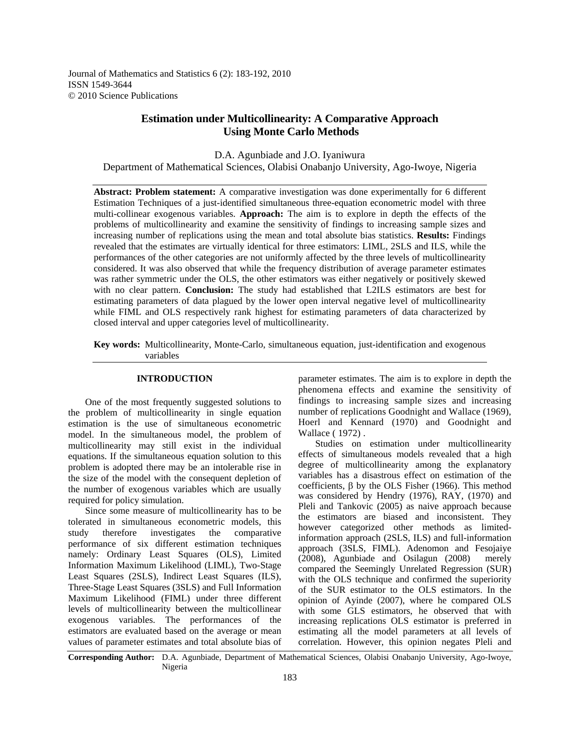Journal of Mathematics and Statistics 6 (2): 183-192, 2010 ISSN 1549-3644 © 2010 Science Publications

# **Estimation under Multicollinearity: A Comparative Approach Using Monte Carlo Methods**

D.A. Agunbiade and J.O. Iyaniwura Department of Mathematical Sciences, Olabisi Onabanjo University, Ago-Iwoye, Nigeria

**Abstract: Problem statement:** A comparative investigation was done experimentally for 6 different Estimation Techniques of a just-identified simultaneous three-equation econometric model with three multi-collinear exogenous variables. **Approach:** The aim is to explore in depth the effects of the problems of multicollinearity and examine the sensitivity of findings to increasing sample sizes and increasing number of replications using the mean and total absolute bias statistics. **Results:** Findings revealed that the estimates are virtually identical for three estimators: LIML, 2SLS and ILS, while the performances of the other categories are not uniformly affected by the three levels of multicollinearity considered. It was also observed that while the frequency distribution of average parameter estimates was rather symmetric under the OLS, the other estimators was either negatively or positively skewed with no clear pattern. **Conclusion:** The study had established that L2ILS estimators are best for estimating parameters of data plagued by the lower open interval negative level of multicollinearity while FIML and OLS respectively rank highest for estimating parameters of data characterized by closed interval and upper categories level of multicollinearity.

**Key words:** Multicollinearity, Monte-Carlo, simultaneous equation, just-identification and exogenous variables

### **INTRODUCTION**

 One of the most frequently suggested solutions to the problem of multicollinearity in single equation estimation is the use of simultaneous econometric model. In the simultaneous model, the problem of multicollinearity may still exist in the individual equations. If the simultaneous equation solution to this problem is adopted there may be an intolerable rise in the size of the model with the consequent depletion of the number of exogenous variables which are usually required for policy simulation.

 Since some measure of multicollinearity has to be tolerated in simultaneous econometric models, this study therefore investigates the comparative performance of six different estimation techniques namely: Ordinary Least Squares (OLS), Limited Information Maximum Likelihood (LIML), Two-Stage Least Squares (2SLS), Indirect Least Squares (ILS), Three-Stage Least Squares (3SLS) and Full Information Maximum Likelihood (FIML) under three different levels of multicollinearity between the multicollinear exogenous variables. The performances of the estimators are evaluated based on the average or mean values of parameter estimates and total absolute bias of

parameter estimates. The aim is to explore in depth the phenomena effects and examine the sensitivity of findings to increasing sample sizes and increasing number of replications Goodnight and Wallace (1969), Hoerl and Kennard (1970) and Goodnight and Wallace ( 1972) .

 Studies on estimation under multicollinearity effects of simultaneous models revealed that a high degree of multicollinearity among the explanatory variables has a disastrous effect on estimation of the coefficients, β by the OLS Fisher (1966). This method was considered by Hendry (1976), RAY, (1970) and Pleli and Tankovic (2005) as naive approach because the estimators are biased and inconsistent. They however categorized other methods as limitedinformation approach (2SLS, ILS) and full-information approach (3SLS, FIML). Adenomon and Fesojaiye (2008), Agunbiade and Osilagun (2008) merely compared the Seemingly Unrelated Regression (SUR) with the OLS technique and confirmed the superiority of the SUR estimator to the OLS estimators. In the opinion of Ayinde (2007), where he compared OLS with some GLS estimators, he observed that with increasing replications OLS estimator is preferred in estimating all the model parameters at all levels of correlation. However, this opinion negates Pleli and

**Corresponding Author:** D.A. Agunbiade, Department of Mathematical Sciences, Olabisi Onabanjo University, Ago-Iwoye, Nigeria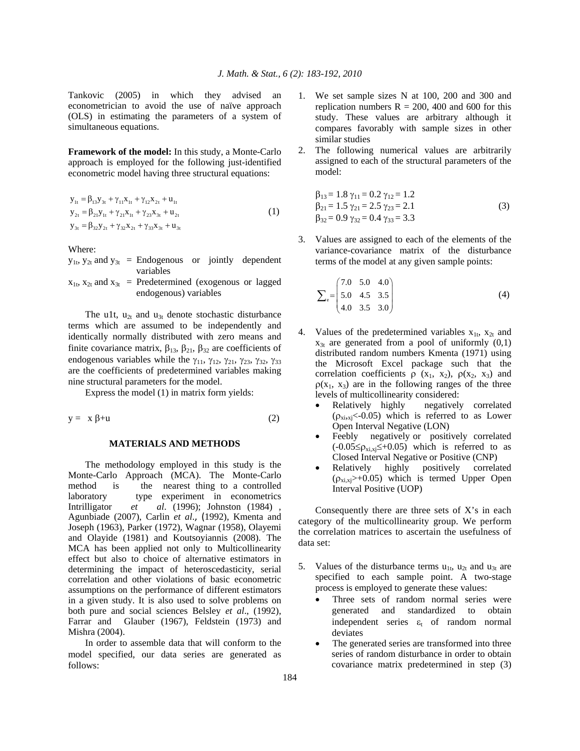Tankovic (2005) in which they advised an econometrician to avoid the use of naïve approach (OLS) in estimating the parameters of a system of simultaneous equations.

**Framework of the model:** In this study, a Monte-Carlo approach is employed for the following just-identified econometric model having three structural equations:

$$
y_{1t} = \beta_{13} y_{3t} + \gamma_{11} x_{1t} + \gamma_{12} x_{2t} + u_{1t}
$$
  
\n
$$
y_{2t} = \beta_{21} y_{1t} + \gamma_{21} x_{1t} + \gamma_{23} x_{3t} + u_{2t}
$$
  
\n
$$
y_{3t} = \beta_{32} y_{2t} + \gamma_{32} x_{2t} + \gamma_{33} x_{3t} + u_{3t}
$$
\n(1)

Where:

|  | $y_{1t}$ , $y_{2t}$ and $y_{3t}$ = Endogenous or jointly dependent    |  |  |
|--|-----------------------------------------------------------------------|--|--|
|  | variables                                                             |  |  |
|  | $x_{1t}$ , $x_{2t}$ and $x_{3t}$ = Predetermined (exogenous or lagged |  |  |
|  | endogenous) variables                                                 |  |  |

The u1t,  $u_{2t}$  and  $u_{3t}$  denote stochastic disturbance terms which are assumed to be independently and identically normally distributed with zero means and finite covariance matrix,  $\beta_{13}$ ,  $\beta_{21}$ ,  $\beta_{32}$  are coefficients of endogenous variables while the  $\gamma_{11}$ ,  $\gamma_{12}$ ,  $\gamma_{21}$ ,  $\gamma_{23}$ ,  $\gamma_{32}$ ,  $\gamma_{33}$ are the coefficients of predetermined variables making nine structural parameters for the model.

Express the model (1) in matrix form yields:

$$
y = x \beta + u \tag{2}
$$

## **MATERIALS AND METHODS**

 The methodology employed in this study is the Monte-Carlo Approach (MCA). The Monte-Carlo method is the nearest thing to a controlled laboratory type experiment in econometrics Intrilligator *et al*. (1996); Johnston (1984) , Agunbiade (2007), Carlin *et al*., (1992), Kmenta and Joseph (1963), Parker (1972), Wagnar (1958), Olayemi and Olayide (1981) and Koutsoyiannis (2008). The MCA has been applied not only to Multicollinearity effect but also to choice of alternative estimators in determining the impact of heteroscedasticity, serial correlation and other violations of basic econometric assumptions on the performance of different estimators in a given study. It is also used to solve problems on both pure and social sciences Belsley *et al*., (1992), Farrar and Glauber (1967), Feldstein (1973) and Mishra (2004).

 In order to assemble data that will conform to the model specified, our data series are generated as follows:

- 1. We set sample sizes N at 100, 200 and 300 and replication numbers  $R = 200$ , 400 and 600 for this study. These values are arbitrary although it compares favorably with sample sizes in other similar studies
- 2. The following numerical values are arbitrarily assigned to each of the structural parameters of the model:

$$
\beta_{13} = 1.8 \gamma_{11} = 0.2 \gamma_{12} = 1.2 \n\beta_{21} = 1.5 \gamma_{21} = 2.5 \gamma_{23} = 2.1 \n\beta_{32} = 0.9 \gamma_{32} = 0.4 \gamma_{33} = 3.3
$$
\n(3)

3. Values are assigned to each of the elements of the variance-covariance matrix of the disturbance terms of the model at any given sample points:

$$
\sum_{e} = \begin{pmatrix} 7.0 & 5.0 & 4.0 \\ 5.0 & 4.5 & 3.5 \\ 4.0 & 3.5 & 3.0 \end{pmatrix}
$$
 (4)

- 4. Values of the predetermined variables  $x_{1t}$ ,  $x_{2t}$  and  $x_{3t}$  are generated from a pool of uniformly  $(0,1)$ distributed random numbers Kmenta (1971) using the Microsoft Excel package such that the correlation coefficients  $\rho$  (x<sub>1</sub>, x<sub>2</sub>),  $\rho$ (x<sub>2</sub>, x<sub>3</sub>) and  $\rho(x_1, x_3)$  are in the following ranges of the three levels of multicollinearity considered:
	- Relatively highly negatively correlated  $(p_{xi, xj} < 0.05)$  which is referred to as Lower Open Interval Negative (LON)
	- Feebly negatively or positively correlated  $(-0.05 \le \rho_{x_i,x_j} \le +0.05)$  which is referred to as Closed Interval Negative or Positive (CNP)
	- Relatively highly positively correlated  $(p_{xi, xj} > +0.05)$  which is termed Upper Open Interval Positive (UOP)

 Consequently there are three sets of X's in each category of the multicollinearity group. We perform the correlation matrices to ascertain the usefulness of data set:

- 5. Values of the disturbance terms  $u_{1t}$ ,  $u_{2t}$  and  $u_{3t}$  are specified to each sample point. A two-stage process is employed to generate these values:
	- Three sets of random normal series were generated and standardized to obtain independent series  $\varepsilon_t$  of random normal deviates
	- The generated series are transformed into three series of random disturbance in order to obtain covariance matrix predetermined in step (3)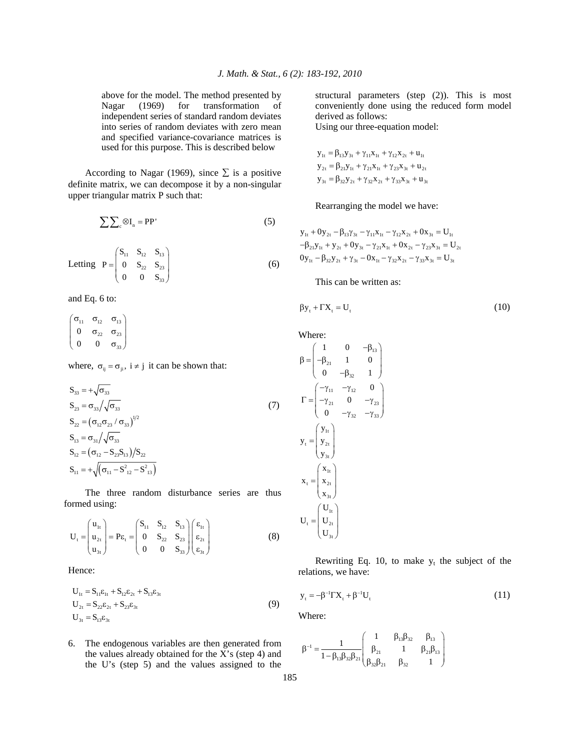above for the model. The method presented by Nagar (1969) for transformation of independent series of standard random deviates into series of random deviates with zero mean and specified variance-covariance matrices is used for this purpose. This is described below

According to Nagar (1969), since  $\Sigma$  is a positive definite matrix, we can decompose it by a non-singular upper triangular matrix P such that:

$$
\sum \sum_{c} \otimes I_{n} = PP' \tag{5}
$$

Letting 
$$
P = \begin{pmatrix} S_{11} & S_{12} & S_{13} \\ 0 & S_{22} & S_{23} \\ 0 & 0 & S_{33} \end{pmatrix}
$$
 (6)

and Eq. 6 to:

$$
\begin{pmatrix}\n\sigma_{11} & \sigma_{12} & \sigma_{13} \\
0 & \sigma_{22} & \sigma_{23} \\
0 & 0 & \sigma_{33}\n\end{pmatrix}
$$

where,  $\sigma_{ij} = \sigma_{ji}$ ,  $i \neq j$  it can be shown that:

$$
S_{33} = +\sqrt{\sigma_{33}}
$$
  
\n
$$
S_{23} = \sigma_{33} / \sqrt{\sigma_{33}}
$$
  
\n
$$
S_{22} = (\sigma_{12} \sigma_{23} / \sigma_{33})^{1/2}
$$
  
\n
$$
S_{13} = \sigma_{31} / \sqrt{\sigma_{33}}
$$
  
\n
$$
S_{12} = (\sigma_{12} - S_{23} S_{13}) / S_{22}
$$
  
\n
$$
S_{11} = +\sqrt{(\sigma_{11} - S_{12}^2 - S_{13}^2)}
$$
 (7)

 The three random disturbance series are thus formed using:

$$
U_{t} = \begin{pmatrix} u_{1t} \\ u_{2t} \\ u_{3t} \end{pmatrix} = P\varepsilon_{t} = \begin{pmatrix} S_{11} & S_{12} & S_{13} \\ 0 & S_{22} & S_{23} \\ 0 & 0 & S_{33} \end{pmatrix} \begin{pmatrix} \varepsilon_{1t} \\ \varepsilon_{2t} \\ \varepsilon_{3t} \end{pmatrix}
$$
 (8)

Hence:

$$
U_{1t} = S_{11}\varepsilon_{1t} + S_{12}\varepsilon_{2t} + S_{13}\varepsilon_{3t}
$$
  
\n
$$
U_{2t} = S_{22}\varepsilon_{2t} + S_{23}\varepsilon_{3t}
$$
  
\n
$$
U_{3t} = S_{13}\varepsilon_{3t}
$$
\n(9)

6. The endogenous variables are then generated from the values already obtained for the X's (step 4) and the U's (step 5) and the values assigned to the structural parameters (step (2)). This is most conveniently done using the reduced form model derived as follows:

Using our three-equation model:

$$
y_{1t} = \beta_{13} y_{3t} + \gamma_{11} x_{1t} + \gamma_{12} x_{2t} + u_{1t}
$$
  
\n
$$
y_{2t} = \beta_{21} y_{1t} + \gamma_{21} x_{1t} + \gamma_{23} x_{3t} + u_{2t}
$$
  
\n
$$
y_{3t} = \beta_{32} y_{2t} + \gamma_{32} x_{2t} + \gamma_{33} x_{3t} + u_{3t}
$$

Rearranging the model we have:

$$
y_{1t} + 0y_{2t} - \beta_{13}y_{3t} - \gamma_{11}x_{1t} - \gamma_{12}x_{2t} + 0x_{3t} = U_{1t}
$$
  

$$
-\beta_{21}y_{1t} + y_{2t} + 0y_{3t} - \gamma_{21}x_{1t} + 0x_{2t} - \gamma_{23}x_{3t} = U_{2t}
$$
  

$$
0y_{1t} - \beta_{32}y_{2t} + \gamma_{3t} - 0x_{1t} - \gamma_{32}x_{2t} - \gamma_{33}x_{3t} = U_{3t}
$$

This can be written as:

$$
\beta y_t + \Gamma X_t = U_t \tag{10}
$$

Where:

$$
\beta = \begin{pmatrix}\n1 & 0 & -\beta_{13} \\
-\beta_{21} & 1 & 0 \\
0 & -\beta_{32} & 1\n\end{pmatrix}
$$
\n
$$
\Gamma = \begin{pmatrix}\n-\gamma_{11} & -\gamma_{12} & 0 \\
-\gamma_{21} & 0 & -\gamma_{23} \\
0 & -\gamma_{32} & -\gamma_{33}\n\end{pmatrix}
$$
\n
$$
y_{t} = \begin{pmatrix}\ny_{1t} \\
y_{2t} \\
y_{3t}\n\end{pmatrix}
$$
\n
$$
x_{t} = \begin{pmatrix}\nx_{1t} \\
x_{2t} \\
x_{3t}\n\end{pmatrix}
$$
\n
$$
U_{t} = \begin{pmatrix}\nU_{1t} \\
U_{2t} \\
U_{3t}\n\end{pmatrix}
$$

Rewriting Eq. 10, to make  $y_t$  the subject of the relations, we have:

$$
y_t = -\beta^{-1} \Gamma X_t + \beta^{-1} U_t \tag{11}
$$

Where:

$$
\beta^{-1}=\frac{1}{1-\beta_{13}\beta_{32}\beta_{21}}\left(\begin{matrix}1&\beta_{13}\beta_{32}&\beta_{13}\\ \beta_{21}&1&\beta_{21}\beta_{13}\\ \beta_{32}\beta_{21}&\beta_{32}&1\end{matrix}\right)
$$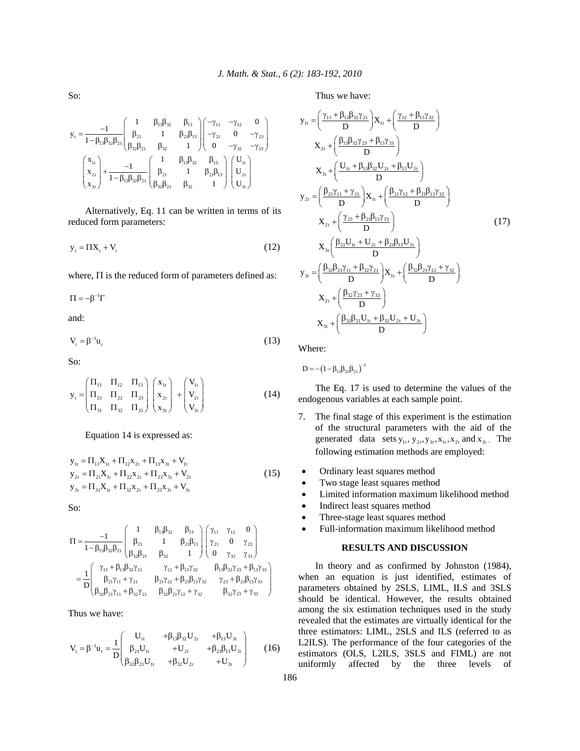So:

$$
y_{\tau}=\frac{-1}{1-\beta_{13}\beta_{32}\beta_{21}}\begin{pmatrix}1 & \beta_{13}\beta_{32} & \beta_{13} \\ \beta_{21} & 1 & \beta_{21}\beta_{13} \\ \beta_{32}\beta_{21} & \beta_{32} & 1 \end{pmatrix}\begin{pmatrix}-\gamma_{11} & -\gamma_{12} & 0 \\ -\gamma_{21} & 0 & -\gamma_{23} \\ 0 & -\gamma_{32} & -\gamma_{33} \end{pmatrix}\\ \begin{pmatrix}x_{1t} \\ x_{2t} \\ x_{3t} \end{pmatrix}+\frac{-1}{1-\beta_{13}\beta_{32}\beta_{21}}\begin{pmatrix}1 & \beta_{13}\beta_{32} & \beta_{13} \\ \beta_{21} & 1 & \beta_{21}\beta_{13} \\ \beta_{32}\beta_{21} & \beta_{32} & 1 \end{pmatrix}\begin{pmatrix}U_{1t} \\ U_{2t} \\ U_{3t} \end{pmatrix}
$$

 Alternatively, Eq. 11 can be written in terms of its reduced form parameters:

$$
y_t = \Pi X_t + V_t \tag{12}
$$

where, Π is the reduced form of parameters defined as:

 $\Pi = -\beta^{-1} \Gamma$ 

and:

$$
V_t = \beta^{-1} u_t \tag{13}
$$

So:

$$
\mathbf{y}_{t} = \begin{pmatrix} \Pi_{11} & \Pi_{12} & \Pi_{13} \\ \Pi_{21} & \Pi_{22} & \Pi_{23} \\ \Pi_{31} & \Pi_{32} & \Pi_{33} \end{pmatrix} \begin{pmatrix} \mathbf{x}_{1t} \\ \mathbf{x}_{2t} \\ \mathbf{x}_{3t} \end{pmatrix} + \begin{pmatrix} \mathbf{V}_{1t} \\ \mathbf{V}_{2t} \\ \mathbf{V}_{3t} \end{pmatrix}
$$
 (14)

#### Equation 14 is expressed as:

$$
y_{1t} = \Pi_{11}X_{1t} + \Pi_{12}X_{2t} + \Pi_{13}X_{3t} + V_{1t}
$$
  
\n
$$
y_{2t} = \Pi_{21}X_{1t} + \Pi_{22}X_{2t} + \Pi_{23}X_{3t} + V_{2t}
$$
  
\n
$$
y_{3t} = \Pi_{31}X_{1t} + \Pi_{32}X_{2t} + \Pi_{33}X_{3t} + V_{3t}
$$
\n(15)

So:

$$
\Pi = \frac{-1}{1 - \beta_{13}\beta_{32}\beta_{21}} \begin{pmatrix} 1 & \beta_{13}\beta_{32} & \beta_{13} \\ \beta_{21} & 1 & \beta_{21}\beta_{13} \\ \beta_{32}\beta_{21} & \beta_{32} & 1 \end{pmatrix} \begin{pmatrix} \gamma_{11} & \gamma_{12} & 0 \\ \gamma_{21} & 0 & \gamma_{23} \\ 0 & \gamma_{32} & \gamma_{33} \end{pmatrix}
$$

$$
= \frac{1}{D} \begin{pmatrix} \gamma_{11} + \beta_{13}\beta_{32}\gamma_{21} & \gamma_{12} + \beta_{13}\gamma_{32} & \beta_{13}\beta_{32}\gamma_{23} + \beta_{13}\gamma_{33} \\ \beta_{21}\gamma_{11} + \gamma_{21} & \beta_{21}\gamma_{12} + \beta_{21}\beta_{13}\gamma_{32} & \gamma_{23} + \beta_{21}\beta_{13}\gamma_{33} \\ \beta_{32}\beta_{21}\gamma_{11} + \beta_{32}\gamma_{21} & \beta_{32}\beta_{21}\gamma_{12} + \gamma_{32} & \beta_{32}\gamma_{23} + \gamma_{33} \end{pmatrix}
$$

Thus we have:

$$
V_{t} = \beta^{-1} u_{t} = \frac{1}{D} \begin{pmatrix} U_{1t} & +\beta_{13}\beta_{32}U_{2t} & +\beta_{13}U_{3t} \\ \beta_{21}U_{1t} & +U_{2t} & +\beta_{21}\beta_{13}U_{3t} \\ \beta_{32}\beta_{21}U_{1t} & +\beta_{32}U_{2t} & +U_{3t} \end{pmatrix}
$$
 (16)

Thus we have:

$$
y_{1t} = \left(\frac{\gamma_{11} + \beta_{13}\beta_{32}\gamma_{21}}{D}\right)X_{1t} + \left(\frac{\gamma_{12} + \beta_{13}\gamma_{32}}{D}\right)
$$
  
\n
$$
X_{2t} + \left(\frac{\beta_{13}\beta_{32}\gamma_{23} + \beta_{13}\gamma_{33}}{D}\right)
$$
  
\n
$$
X_{3t} + \left(\frac{U_{1t} + \beta_{13}\beta_{32}U_{2t} + \beta_{13}U_{3t}}{D}\right)
$$
  
\n
$$
y_{2t} = \left(\frac{\beta_{21}\gamma_{11} + \gamma_{21}}{D}\right)X_{1t} + \left(\frac{\beta_{21}\gamma_{12} + \beta_{21}\beta_{13}\gamma_{32}}{D}\right)
$$
  
\n
$$
X_{2t} + \left(\frac{\gamma_{23} + \beta_{21}\beta_{13}\gamma_{33}}{D}\right)
$$
  
\n
$$
X_{3t} = \left(\frac{\beta_{21}U_{1t} + U_{2t} + \beta_{21}\beta_{13}U_{3t}}{D}\right)
$$
  
\n
$$
y_{3t} = \left(\frac{\beta_{32}\beta_{21}\gamma_{11} + \beta_{32}\gamma_{21}}{D}\right)X_{1t} + \left(\frac{\beta_{32}\beta_{21}\gamma_{12} + \gamma_{32}}{D}\right)
$$
  
\n
$$
X_{2t} + \left(\frac{\beta_{32}\gamma_{23} + \gamma_{33}}{D}\right)
$$
  
\n
$$
X_{3t} + \left(\frac{\beta_{32}\beta_{21}U_{1t} + \beta_{32}U_{2t} + U_{3t}}{D}\right)
$$

Where:

$$
D = -\left(1 - \beta_{13}\beta_{32}\beta_{21}\right)^{-1}
$$

 The Eq. 17 is used to determine the values of the endogenous variables at each sample point.

- 7. The final stage of this experiment is the estimation of the structural parameters with the aid of the generated data sets  $y_{1t}$ ,  $y_{2t}$ ,  $y_{3t}$ ,  $x_{1t}$ ,  $x_{2t}$  and  $x_{3t}$ . The following estimation methods are employed:
- Ordinary least squares method
- Two stage least squares method
- Limited information maximum likelihood method
- Indirect least squares method
- Three-stage least squares method
- Full-information maximum likelihood method

### **RESULTS AND DISCUSSION**

 In theory and as confirmed by Johnston (1984), when an equation is just identified, estimates of parameters obtained by 2SLS, LIML, ILS and 3SLS should be identical. However, the results obtained among the six estimation techniques used in the study revealed that the estimates are virtually identical for the three estimators: LIML, 2SLS and ILS (referred to as L2ILS). The performance of the four categories of the estimators (OLS, L2ILS, 3SLS and FIML) are not uniformly affected by the three levels of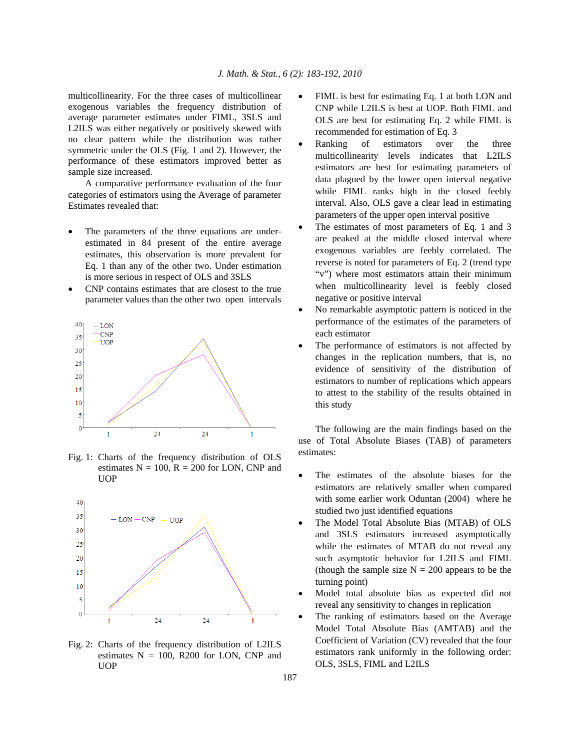multicollinearity. For the three cases of multicollinear exogenous variables the frequency distribution of average parameter estimates under FIML, 3SLS and L2ILS was either negatively or positively skewed with no clear pattern while the distribution was rather symmetric under the OLS (Fig. 1 and 2). However, the performance of these estimators improved better as sample size increased.

 A comparative performance evaluation of the four categories of estimators using the Average of parameter Estimates revealed that:

- The parameters of the three equations are underestimated in 84 present of the entire average estimates, this observation is more prevalent for Eq. 1 than any of the other two. Under estimation is more serious in respect of OLS and 3SLS
- CNP contains estimates that are closest to the true parameter values than the other two open intervals



Fig. 1: Charts of the frequency distribution of OLS estimates  $N = 100$ ,  $R = 200$  for LON, CNP and UOP



Fig. 2: Charts of the frequency distribution of L2ILS estimates  $N = 100$ , R200 for LON, CNP and UOP

- FIML is best for estimating Eq. 1 at both LON and CNP while L2ILS is best at UOP. Both FIML and OLS are best for estimating Eq. 2 while FIML is recommended for estimation of Eq. 3
- Ranking of estimators over the three multicollinearity levels indicates that L2ILS estimators are best for estimating parameters of data plagued by the lower open interval negative while FIML ranks high in the closed feebly interval. Also, OLS gave a clear lead in estimating parameters of the upper open interval positive
- The estimates of most parameters of Eq. 1 and 3 are peaked at the middle closed interval where exogenous variables are feebly correlated. The reverse is noted for parameters of Eq. 2 (trend type "v") where most estimators attain their minimum when multicollinearity level is feebly closed negative or positive interval
- No remarkable asymptotic pattern is noticed in the performance of the estimates of the parameters of each estimator
- The performance of estimators is not affected by changes in the replication numbers, that is, no evidence of sensitivity of the distribution of estimators to number of replications which appears to attest to the stability of the results obtained in this study

 The following are the main findings based on the use of Total Absolute Biases (TAB) of parameters estimates:

- The estimates of the absolute biases for the estimators are relatively smaller when compared with some earlier work Oduntan (2004) where he studied two just identified equations
- The Model Total Absolute Bias (MTAB) of OLS and 3SLS estimators increased asymptotically while the estimates of MTAB do not reveal any such asymptotic behavior for L2ILS and FIML (though the sample size  $N = 200$  appears to be the turning point)
- Model total absolute bias as expected did not reveal any sensitivity to changes in replication
- The ranking of estimators based on the Average Model Total Absolute Bias (AMTAB) and the Coefficient of Variation (CV) revealed that the four estimators rank uniformly in the following order: OLS, 3SLS, FIML and L2ILS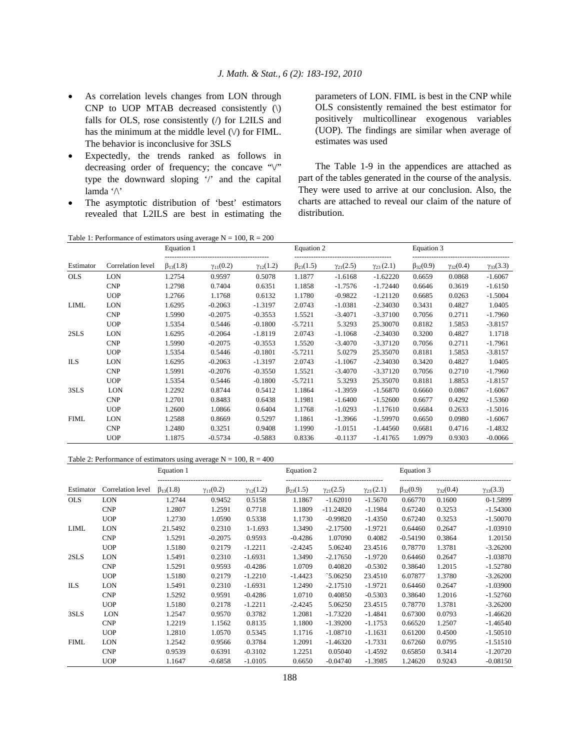- As correlation levels changes from LON through CNP to UOP MTAB decreased consistently (\) falls for OLS, rose consistently (/) for L2ILS and has the minimum at the middle level  $(\vee)$  for FIML. The behavior is inconclusive for 3SLS
- Expectedly, the trends ranked as follows in decreasing order of frequency; the concave  $\sqrt{\ }$ type the downward sloping '/' and the capital lamda '/\'
- The asymptotic distribution of 'best' estimators revealed that L2ILS are best in estimating the

parameters of LON. FIML is best in the CNP while OLS consistently remained the best estimator for positively multicollinear exogenous variables (UOP). The findings are similar when average of estimates was used

 The Table 1-9 in the appendices are attached as part of the tables generated in the course of the analysis. They were used to arrive at our conclusion. Also, the charts are attached to reveal our claim of the nature of distribution.

|             | Table 1: Performance of estimators using average $N = 100$ , $R = 200$ |                   |                    |                    |                   |                    |                    |                   |                    |                    |
|-------------|------------------------------------------------------------------------|-------------------|--------------------|--------------------|-------------------|--------------------|--------------------|-------------------|--------------------|--------------------|
|             |                                                                        | Equation 1        |                    |                    | Equation 2        |                    |                    | Equation 3        |                    |                    |
| Estimator   | Correlation level                                                      | $\beta_{13}(1.8)$ | $\gamma_{11}(0.2)$ | $\gamma_{12}(1.2)$ | $\beta_{23}(1.5)$ | $\gamma_{21}(2.5)$ | $\gamma_{23}(2.1)$ | $\beta_{32}(0.9)$ | $\gamma_{32}(0.4)$ | $\gamma_{33}(3.3)$ |
| <b>OLS</b>  | <b>LON</b>                                                             | 1.2754            | 0.9597             | 0.5078             | 1.1877            | $-1.6168$          | $-1.62220$         | 0.6659            | 0.0868             | $-1.6067$          |
|             | <b>CNP</b>                                                             | 1.2798            | 0.7404             | 0.6351             | 1.1858            | $-1.7576$          | $-1.72440$         | 0.6646            | 0.3619             | $-1.6150$          |
|             | <b>UOP</b>                                                             | 1.2766            | 1.1768             | 0.6132             | 1.1780            | $-0.9822$          | $-1.21120$         | 0.6685            | 0.0263             | $-1.5004$          |
| <b>LIML</b> | <b>LON</b>                                                             | 1.6295            | $-0.2063$          | $-1.3197$          | 2.0743            | $-1.0381$          | $-2.34030$         | 0.3431            | 0.4827             | 1.0405             |
|             | <b>CNP</b>                                                             | 1.5990            | $-0.2075$          | $-0.3553$          | 1.5521            | $-3.4071$          | $-3.37100$         | 0.7056            | 0.2711             | $-1.7960$          |
|             | <b>UOP</b>                                                             | 1.5354            | 0.5446             | $-0.1800$          | $-5.7211$         | 5.3293             | 25.30070           | 0.8182            | 1.5853             | $-3.8157$          |
| 2SLS        | LON                                                                    | 1.6295            | $-0.2064$          | $-1.8119$          | 2.0743            | $-1.1068$          | $-2.34030$         | 0.3200            | 0.4827             | 1.1718             |
|             | <b>CNP</b>                                                             | 1.5990            | $-0.2075$          | $-0.3553$          | 1.5520            | $-3.4070$          | $-3.37120$         | 0.7056            | 0.2711             | $-1.7961$          |
|             | <b>UOP</b>                                                             | 1.5354            | 0.5446             | $-0.1801$          | $-5.7211$         | 5.0279             | 25.35070           | 0.8181            | 1.5853             | $-3.8157$          |
| <b>ILS</b>  | <b>LON</b>                                                             | 1.6295            | $-0.2063$          | $-1.3197$          | 2.0743            | $-1.1067$          | $-2.34030$         | 0.3420            | 0.4827             | 1.0405             |
|             | <b>CNP</b>                                                             | 1.5991            | $-0.2076$          | $-0.3550$          | 1.5521            | $-3.4070$          | $-3.37120$         | 0.7056            | 0.2710             | $-1.7960$          |
|             | <b>UOP</b>                                                             | 1.5354            | 0.5446             | $-0.1800$          | $-5.7211$         | 5.3293             | 25.35070           | 0.8181            | 1.8853             | $-1.8157$          |
| 3SLS        | LON                                                                    | 1.2292            | 0.8744             | 0.5412             | 1.1864            | $-1.3959$          | $-1.56870$         | 0.6660            | 0.0867             | $-1.6067$          |
|             | <b>CNP</b>                                                             | 1.2701            | 0.8483             | 0.6438             | 1.1981            | $-1.6400$          | $-1.52600$         | 0.6677            | 0.4292             | $-1.5360$          |
|             | <b>UOP</b>                                                             | 1.2600            | 1.0866             | 0.6404             | 1.1768            | $-1.0293$          | $-1.17610$         | 0.6684            | 0.2633             | $-1.5016$          |
| <b>FIML</b> | LON                                                                    | 1.2588            | 0.8669             | 0.5297             | 1.1861            | $-1.3966$          | $-1.59970$         | 0.6650            | 0.0980             | $-1.6067$          |
|             | <b>CNP</b>                                                             | 1.2480            | 0.3251             | 0.9408             | 1.1990            | $-1.0151$          | $-1.44560$         | 0.6681            | 0.4716             | $-1.4832$          |
|             | <b>UOP</b>                                                             | 1.1875            | $-0.5734$          | $-0.5883$          | 0.8336            | $-0.1137$          | $-1.41765$         | 1.0979            | 0.9303             | $-0.0066$          |

## Table 2: Performance of estimators using average  $N = 100$ ,  $R = 400$

|             |                   | Equation 1        |                    |                    | Equation 2        |                    |                    | Equation 3        |                    |                    |  |
|-------------|-------------------|-------------------|--------------------|--------------------|-------------------|--------------------|--------------------|-------------------|--------------------|--------------------|--|
| Estimator   | Correlation level | $\beta_{13}(1.8)$ | $\gamma_{11}(0.2)$ | $\gamma_{12}(1.2)$ | $\beta_{23}(1.5)$ | $\gamma_{21}(2.5)$ | $\gamma_{23}(2.1)$ | $\beta_{32}(0.9)$ | $\gamma_{32}(0.4)$ | $\gamma_{33}(3.3)$ |  |
| <b>OLS</b>  | LON               | 1.2744            | 0.9452             | 0.5158             | 1.1867            | $-1.62010$         | $-1.5670$          | 0.66770           | 0.1600             | 0-1.5899           |  |
|             | <b>CNP</b>        | 1.2807            | 1.2591             | 0.7718             | 1.1809            | $-11.24820$        | $-1.1984$          | 0.67240           | 0.3253             | $-1.54300$         |  |
|             | <b>UOP</b>        | 1.2730            | 1.0590             | 0.5338             | 1.1730            | $-0.99820$         | $-1.4350$          | 0.67240           | 0.3253             | $-1.50070$         |  |
| LIML        | LON               | 21.5492           | 0.2310             | $1 - 1.693$        | 1.3490            | $-2.17500$         | $-1.9721$          | 0.64460           | 0.2647             | $-1.03910$         |  |
|             | <b>CNP</b>        | 1.5291            | $-0.2075$          | 0.9593             | $-0.4286$         | 1.07090            | 0.4082             | $-0.54190$        | 0.3864             | 1.20150            |  |
|             | <b>UOP</b>        | 1.5180            | 0.2179             | $-1.2211$          | $-2.4245$         | 5.06240            | 23.4516            | 0.78770           | 1.3781             | $-3.26200$         |  |
| 2SLS        | LON               | 1.5491            | 0.2310             | $-1.6931$          | 1.3490            | $-2.17650$         | $-1.9720$          | 0.64460           | 0.2647             | $-1.03870$         |  |
|             | <b>CNP</b>        | 1.5291            | 0.9593             | $-0.4286$          | 1.0709            | 0.40820            | $-0.5302$          | 0.38640           | 1.2015             | $-1.52780$         |  |
|             | <b>UOP</b>        | 1.5180            | 0.2179             | $-1.2210$          | $-1.4423$         | $\degree$ 5.06250  | 23.4510            | 6.07877           | 1.3780             | $-3.26200$         |  |
| <b>ILS</b>  | LON               | 1.5491            | 0.2310             | $-1.6931$          | 1.2490            | $-2.17510$         | $-1.9721$          | 0.64460           | 0.2647             | $-1.03900$         |  |
|             | <b>CNP</b>        | 1.5292            | 0.9591             | $-0.4286$          | 1.0710            | 0.40850            | $-0.5303$          | 0.38640           | 1.2016             | $-1.52760$         |  |
|             | <b>UOP</b>        | 1.5180            | 0.2178             | $-1.2211$          | $-2.4245$         | 5.06250            | 23.4515            | 0.78770           | 1.3781             | $-3.26200$         |  |
| 3SLS        | LON               | 1.2547            | 0.9570             | 0.3782             | 1.2081            | $-1.73220$         | $-1.4841$          | 0.67300           | 0.0793             | $-1.46620$         |  |
|             | <b>CNP</b>        | 1.2219            | 1.1562             | 0.8135             | 1.1800            | $-1.39200$         | $-1.1753$          | 0.66520           | 1.2507             | $-1.46540$         |  |
|             | <b>UOP</b>        | 1.2810            | 1.0570             | 0.5345             | 1.1716            | $-1.08710$         | $-1.1631$          | 0.61200           | 0.4500             | $-1.50510$         |  |
| <b>FIML</b> | LON               | 1.2542            | 0.9566             | 0.3784             | 1.2091            | $-1.46320$         | $-1.7331$          | 0.67260           | 0.0795             | $-1.51510$         |  |
|             | <b>CNP</b>        | 0.9539            | 0.6391             | $-0.3102$          | 1.2251            | 0.05040            | $-1.4592$          | 0.65850           | 0.3414             | $-1.20720$         |  |
|             | <b>UOP</b>        | 1.1647            | $-0.6858$          | $-1.0105$          | 0.6650            | $-0.04740$         | $-1.3985$          | 1.24620           | 0.9243             | $-0.08150$         |  |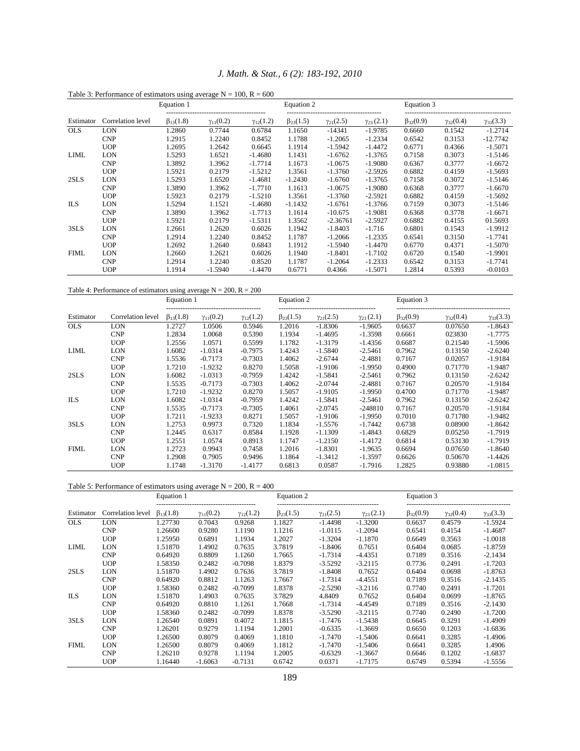|             | Table 3: Performance of estimators using average $N = 100$ , $R = 600$ |                   |                    |                    |                   |                    |                    |                   |                    |                    |
|-------------|------------------------------------------------------------------------|-------------------|--------------------|--------------------|-------------------|--------------------|--------------------|-------------------|--------------------|--------------------|
|             |                                                                        | Equation 1        |                    |                    | Equation 2        |                    | Equation 3         |                   |                    |                    |
| Estimator   | Correlation level                                                      | $\beta_{13}(1.8)$ | $\gamma_{11}(0.2)$ | $\gamma_{12}(1.2)$ | $\beta_{23}(1.5)$ | $\gamma_{21}(2.5)$ | $\gamma_{23}(2.1)$ | $\beta_{32}(0.9)$ | $\gamma_{32}(0.4)$ | $\gamma_{33}(3.3)$ |
| <b>OLS</b>  | LON                                                                    | 1.2860            | 0.7744             | 0.6784             | 1.1650            | $-14341$           | $-1.9785$          | 0.6660            | 0.1542             | $-1.2714$          |
|             | <b>CNP</b>                                                             | 1.2915            | 1.2240             | 0.8452             | 1.1788            | $-1.2065$          | $-1.2334$          | 0.6542            | 0.3153             | $-12.7742$         |
|             | <b>UOP</b>                                                             | 1.2695            | 1.2642             | 0.6645             | 1.1914            | $-1.5942$          | $-1.4472$          | 0.6771            | 0.4366             | $-1.5071$          |
| LIML        | LON                                                                    | 1.5293            | 1.6521             | $-1.4680$          | 1.1431            | $-1.6762$          | $-1.3765$          | 0.7158            | 0.3073             | $-1.5146$          |
|             | <b>CNP</b>                                                             | 1.3892            | 1.3962             | $-1.7714$          | 1.1673            | $-1.0675$          | $-1.9080$          | 0.6367            | 0.3777             | $-1.6672$          |
|             | <b>UOP</b>                                                             | 1.5921            | 0.2179             | $-1.5212$          | 1.3561            | $-1.3760$          | $-2.5926$          | 0.6882            | 0.4159             | $-1.5693$          |
| 2SLS        | LON                                                                    | 1.5293            | 1.6520             | $-1.4681$          | $-1.2430$         | $-1.6760$          | $-1.3765$          | 0.7158            | 0.3072             | $-1.5146$          |
|             | <b>CNP</b>                                                             | 1.3890            | 1.3962             | $-1.7710$          | 1.1613            | $-1.0675$          | $-1.9080$          | 0.6368            | 0.3777             | $-1.6670$          |
|             | <b>UOP</b>                                                             | 1.5923            | 0.2179             | $-1.5210$          | 1.3561            | $-1.3760$          | $-2.5921$          | 0.6882            | 0.4159             | $-1.5692$          |
| ILS.        | LON                                                                    | 1.5294            | 1.1521             | $-1.4680$          | $-1.1432$         | $-1.6761$          | $-1.3766$          | 0.7159            | 0.3073             | $-1.5146$          |
|             | <b>CNP</b>                                                             | 1.3890            | 1.3962             | $-1.7713$          | 1.1614            | $-10.675$          | $-1.9081$          | 0.6368            | 0.3778             | $-1.6671$          |
|             | <b>UOP</b>                                                             | 1.5921            | 0.2179             | $-1.5311$          | 1.3562            | $-2.36761$         | $-2.5927$          | 0.6882            | 0.4155             | 01.5693            |
| 3SLS        | LON                                                                    | 1.2661            | 1.2620             | 0.6026             | 1.1942            | $-1.8403$          | $-1.716$           | 0.6801            | 0.1543             | $-1.9912$          |
|             | <b>CNP</b>                                                             | 1.2914            | 1.2240             | 0.8452             | 1.1787            | $-1.2066$          | $-1.2335$          | 0.6541            | 0.3150             | $-1.7741$          |
|             | <b>UOP</b>                                                             | 1.2692            | 1.2640             | 0.6843             | 1.1912            | $-1.5940$          | $-1.4470$          | 0.6770            | 0.4371             | $-1.5070$          |
| <b>FIML</b> | LON                                                                    | 1.2660            | 1.2621             | 0.6026             | 1.1940            | $-1.8401$          | $-1.7102$          | 0.6720            | 0.1540             | $-1.9901$          |
|             | <b>CNP</b>                                                             | 1.2914            | 1.2240             | 0.8520             | 1.1787            | $-1.2064$          | $-1.2333$          | 0.6542            | 0.3153             | $-1.7741$          |
|             | <b>UOP</b>                                                             | 1.1914            | $-1.5940$          | $-1.4470$          | 0.6771            | 0.4366             | $-1.5071$          | 1.2814            | 0.5393             | $-0.0103$          |

# *J. Math. & Stat., 6 (2): 183-192, 2010*

## Table 4: Performance of estimators using average  $N = 200$ ,  $R = 200$

|             |                   | Equation 1        |                    |                    |                   | Equation 2         |                    | Equation 3        |                    |                    |
|-------------|-------------------|-------------------|--------------------|--------------------|-------------------|--------------------|--------------------|-------------------|--------------------|--------------------|
| Estimator   | Correlation level | $\beta_{13}(1.8)$ | $\gamma_{11}(0.2)$ | $\gamma_{12}(1.2)$ | $\beta_{23}(1.5)$ | $\gamma_{21}(2.5)$ | $\gamma_{23}(2.1)$ | $\beta_{32}(0.9)$ | $\gamma_{32}(0.4)$ | $\gamma_{33}(3.3)$ |
| <b>OLS</b>  | LON               | 1.2727            | 1.0506             | 0.5946             | 1.2016            | $-1.8306$          | $-1.9605$          | 0.6637            | 0.07650            | $-1.8643$          |
|             | <b>CNP</b>        | 1.2834            | 1.0068             | 0.5390             | 1.1934            | $-1.4695$          | $-1.3598$          | 0.6661            | 023830             | $-1.7775$          |
|             | <b>UOP</b>        | 1.2556            | 1.0571             | 0.5599             | 1.1782            | $-1.3179$          | $-1.4356$          | 0.6687            | 0.21540            | $-1.5906$          |
| LIML        | <b>LON</b>        | 1.6082            | $-1.0314$          | $-0.7975$          | 1.4243            | $-1.5840$          | $-2.5461$          | 0.7962            | 0.13150            | $-2.6240$          |
|             | <b>CNP</b>        | 1.5536            | $-0.7173$          | $-0.7303$          | 1.4062            | $-2.6744$          | $-2.4881$          | 0.7167            | 0.02057            | $-1.9184$          |
|             | <b>UOP</b>        | 1.7210            | $-1.9232$          | 0.8270             | 1.5058            | $-1.9106$          | $-1.9950$          | 0.4900            | 0.71770            | $-1.9487$          |
| 2SLS        | <b>LON</b>        | 1.6082            | $-1.0313$          | $-0.7959$          | 1.4242            | $-1.5841$          | $-2.5461$          | 0.7962            | 0.13150            | $-2.6242$          |
|             | <b>CNP</b>        | 1.5535            | $-0.7173$          | $-0.7303$          | 1.4062            | $-2.0744$          | $-2.4881$          | 0.7167            | 0.20570            | $-1.9184$          |
|             | <b>UOP</b>        | 1.7210            | $-1.9232$          | 0.8270             | 1.5057            | $-1.9105$          | $-1.9950$          | 0.4700            | 0.71770            | $-1.9487$          |
| <b>ILS</b>  | LON               | 1.6082            | $-1.0314$          | $-0.7959$          | 1.4242            | $-1.5841$          | $-2.5461$          | 0.7962            | 0.13150            | $-2.6242$          |
|             | <b>CNP</b>        | 1.5535            | $-0.7173$          | $-0.7305$          | 1.4061            | $-2.0745$          | $-248810$          | 0.7167            | 0.20570            | $-1.9184$          |
|             | <b>UOP</b>        | 1.7211            | $-1.9233$          | 0.8271             | 1.5057            | $-1.9106$          | $-1.9950$          | 0.7010            | 0.71780            | $-1.9482$          |
| 3SLS        | <b>LON</b>        | 1.2753            | 0.9973             | 0.7320             | 1.1834            | $-1.5576$          | $-1.7442$          | 0.6738            | 0.08900            | $-1.8642$          |
|             | <b>CNP</b>        | 1.2445            | 0.6317             | 0.8584             | 1.1928            | $-1.1309$          | $-1.4843$          | 0.6829            | 0.05250            | $-1.7919$          |
|             | <b>UOP</b>        | 1.2551            | 1.0574             | 0.8913             | 1.1747            | $-1.2150$          | $-1.4172$          | 0.6814            | 0.53130            | $-1.7919$          |
| <b>FIML</b> | <b>LON</b>        | 1.2723            | 0.9943             | 0.7458             | 1.2016            | $-1.8301$          | $-1.9635$          | 0.6694            | 0.07650            | $-1.8640$          |
|             | <b>CNP</b>        | 1.2908            | 0.7905             | 0.9496             | 1.1864            | $-1.3412$          | $-1.3597$          | 0.6626            | 0.50670            | $-1.4426$          |
|             | <b>UOP</b>        | 1.1748            | $-1.3170$          | $-1.4177$          | 0.6813            | 0.0587             | $-1.7916$          | 1.2825            | 0.93880            | $-1.0815$          |

### Table 5: Performance of estimators using average  $N = 200$ ,  $R = 400$

|             | Table 5. Ferrormance of estimators using average $N = 200$ , $N = 400$ |                                                |                    |                    |                   |                    |                    |                   |                    |                    |  |
|-------------|------------------------------------------------------------------------|------------------------------------------------|--------------------|--------------------|-------------------|--------------------|--------------------|-------------------|--------------------|--------------------|--|
|             |                                                                        | Equation 1<br>-------------------------------- |                    |                    | Equation 2        |                    |                    | Equation 3        |                    |                    |  |
| Estimator   | Correlation level                                                      | $\beta_{13}(1.8)$                              | $\gamma_{11}(0.2)$ | $\gamma_{12}(1.2)$ | $\beta_{23}(1.5)$ | $\gamma_{21}(2.5)$ | $\gamma_{23}(2.1)$ | $\beta_{32}(0.9)$ | $\gamma_{32}(0.4)$ | $\gamma_{33}(3.3)$ |  |
| <b>OLS</b>  | LON                                                                    | 1.27730                                        | 0.7043             | 0.9268             | 1.1827            | $-1.4498$          | $-1.3200$          | 0.6637            | 0.4579             | $-1.5924$          |  |
|             | <b>CNP</b>                                                             | 1.26600                                        | 0.9280             | 1.1190             | 1.1216            | $-1.0115$          | $-1.2094$          | 0.6541            | 0.4154             | $-1.4687$          |  |
|             | <b>UOP</b>                                                             | 1.25950                                        | 0.6891             | 1.1934             | 1.2027            | $-1.3204$          | $-1.1870$          | 0.6649            | 0.3563             | $-1.0018$          |  |
| LIML        | LON                                                                    | 1.51870                                        | 1.4902             | 0.7635             | 3.7819            | $-1.8406$          | 0.7651             | 0.6404            | 0.0685             | $-1.8759$          |  |
|             | <b>CNP</b>                                                             | 0.64920                                        | 0.8809             | 1.1260             | 1.7665            | $-1.7314$          | $-4.4351$          | 0.7189            | 0.3516             | $-2.1434$          |  |
|             | <b>UOP</b>                                                             | 1.58350                                        | 0.2482             | $-0.7098$          | 1.8379            | $-3.5292$          | $-3.2115$          | 0.7736            | 0.2491             | $-1.7203$          |  |
| 2SLS        | LON                                                                    | 1.51870                                        | 1.4902             | 0.7636             | 3.7819            | $-1.8408$          | 0.7652             | 0.6404            | 0.0698             | $-1.8763$          |  |
|             | <b>CNP</b>                                                             | 0.64920                                        | 0.8812             | 1.1263             | 1.7667            | $-1.7314$          | $-4.4551$          | 0.7189            | 0.3516             | $-2.1435$          |  |
|             | <b>UOP</b>                                                             | 1.58360                                        | 0.2482             | $-0.7099$          | 1.8378            | $-2.5290$          | $-3.2116$          | 0.7740            | 0.2491             | $-1.7201$          |  |
| ILS         | <b>LON</b>                                                             | 1.51870                                        | 1.4903             | 0.7635             | 3.7829            | 4.8409             | 0.7652             | 0.6404            | 0.0699             | $-1.8765$          |  |
|             | <b>CNP</b>                                                             | 0.64920                                        | 0.8810             | 1.1261             | 1.7668            | $-1.7314$          | $-4.4549$          | 0.7189            | 0.3516             | $-2.1430$          |  |
|             | <b>UOP</b>                                                             | 1.58360                                        | 0.2482             | $-0.7099$          | 1.8378            | $-3.5290$          | $-3.2115$          | 0.7740            | 0.2490             | $-1.7200$          |  |
| 3SLS        | <b>LON</b>                                                             | 1.26540                                        | 0.0891             | 0.4072             | 1.1815            | $-1.7476$          | $-1.5438$          | 0.6645            | 0.3291             | $-1.4909$          |  |
|             | <b>CNP</b>                                                             | 1.26201                                        | 0.9279             | 1.1194             | 1.2001            | $-0.6335$          | $-1.3669$          | 0.6650            | 0.1203             | $-1.6836$          |  |
|             | <b>UOP</b>                                                             | 1.26500                                        | 0.8079             | 0.4069             | 1.1810            | $-1.7470$          | $-1.5406$          | 0.6641            | 0.3285             | $-1.4906$          |  |
| <b>FIML</b> | <b>LON</b>                                                             | 1.26500                                        | 0.8079             | 0.4069             | 1.1812            | $-1.7470$          | $-1.5406$          | 0.6641            | 0.3285             | 1.4906             |  |
|             | <b>CNP</b>                                                             | 1.26210                                        | 0.9278             | 1.1194             | 1.2005            | $-0.6329$          | $-1.3667$          | 0.6646            | 0.1202             | $-1.6837$          |  |
|             | <b>UOP</b>                                                             | 1.16440                                        | $-1.6063$          | $-0.7131$          | 0.6742            | 0.0371             | $-1.7175$          | 0.6749            | 0.5394             | $-1.5556$          |  |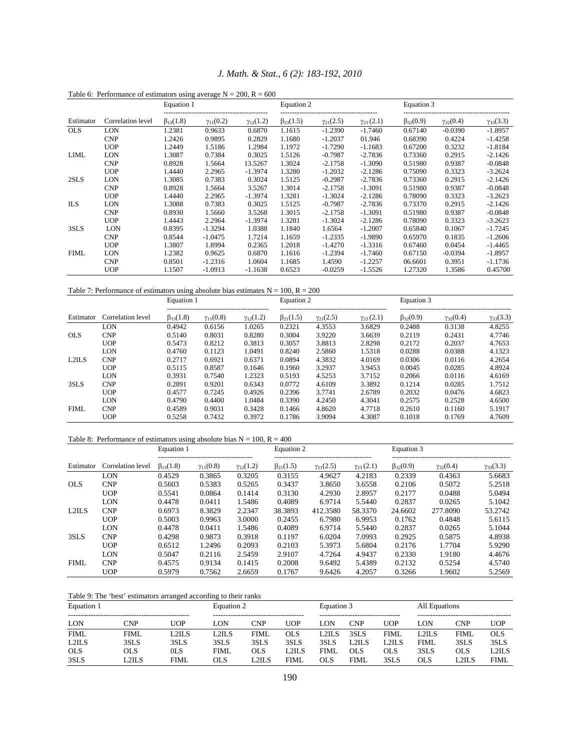|             |                   | Equation 1        |                    |                    | Equation 2        |                    |                    | Equation 3        |                    |                    |
|-------------|-------------------|-------------------|--------------------|--------------------|-------------------|--------------------|--------------------|-------------------|--------------------|--------------------|
| Estimator   | Correlation level | $\beta_{13}(1.8)$ | $\gamma_{11}(0.2)$ | $\gamma_{12}(1.2)$ | $\beta_{23}(1.5)$ | $\gamma_{21}(2.5)$ | $\gamma_{23}(2.1)$ | $\beta_{32}(0.9)$ | $\gamma_{32}(0.4)$ | $\gamma_{33}(3.3)$ |
| <b>OLS</b>  | LON               | 1.2381            | 0.9633             | 0.6870             | 1.1615            | $-1.2390$          | $-1.7460$          | 0.67140           | $-0.0390$          | $-1.8957$          |
|             | <b>CNP</b>        | 1.2426            | 0.9895             | 0.2829             | 1.1680            | $-1.2037$          | 01.946             | 0.68390           | 0.4224             | $-1.4258$          |
|             | <b>UOP</b>        | 1.2449            | 1.5186             | 1.2984             | 1.1972            | $-1.7290$          | $-1.1683$          | 0.67200           | 0.3232             | $-1.8184$          |
| LIML        | LON               | 1.3087            | 0.7384             | 0.3025             | 1.5126            | $-0.7987$          | $-2.7836$          | 0.73360           | 0.2915             | $-2.1426$          |
|             | <b>CNP</b>        | 0.8928            | 1.5664             | 13.5267            | 1.3024            | $-2.1758$          | $-1.3090$          | 0.51980           | 0.9387             | $-0.0848$          |
|             | <b>UOP</b>        | 1.4440            | 2.2965             | $-1.3974$          | 1.3280            | $-1.2032$          | $-2.1286$          | 0.75090           | 0.3323             | $-3.2624$          |
| 2SLS        | LON               | 1.3085            | 0.7383             | 0.3024             | 1.5125            | $-0.2987$          | $-2.7836$          | 0.73360           | 0.2915             | $-2.1426$          |
|             | <b>CNP</b>        | 0.8928            | 1.5664             | 3.5267             | 1.3014            | $-2.1758$          | $-1.3091$          | 0.51980           | 0.9387             | $-0.0848$          |
|             | <b>UOP</b>        | 1.4440            | 2.2965             | $-1.3974$          | 1.3281            | $-1.3024$          | $-2.1286$          | 0.78090           | 0.3323             | $-3.2623$          |
| <b>ILS</b>  | LON               | 1.3088            | 0.7383             | 0.3025             | 1.5125            | $-0.7987$          | $-2.7836$          | 0.73370           | 0.2915             | $-2.1426$          |
|             | <b>CNP</b>        | 0.8930            | 1.5660             | 3.5268             | 1.3015            | $-2.1758$          | $-1.3091$          | 0.51980           | 0.9387             | $-0.0848$          |
|             | <b>UOP</b>        | 1.4443            | 2.2964             | $-1.3974$          | 1.3281            | $-1.3024$          | $-2.1286$          | 0.78090           | 0.3323             | $-3.2623$          |
| 3SLS        | LON               | 0.8395            | $-1.3294$          | 1.0388             | 1.1840            | 1.6564             | $-1.2007$          | 0.65840           | 0.1067             | $-1.7245$          |
|             | <b>CNP</b>        | 0.8544            | $-1.0475$          | 1.7214             | 1.1659            | $-1.2335$          | $-1.9890$          | 0.65970           | 0.1835             | $-1.2606$          |
|             | <b>UOP</b>        | 1.3807            | 1.8994             | 0.2365             | 1.2018            | $-1.4270$          | $-1.3316$          | 0.67460           | 0.0454             | $-1.4465$          |
| <b>FIML</b> | LON               | 1.2382            | 0.9625             | 0.6870             | 1.1616            | $-1.2394$          | $-1.7460$          | 0.67150           | $-0.0394$          | $-1.8957$          |
|             | <b>CNP</b>        | 0.8501            | $-1.2316$          | 1.0604             | 1.1685            | 1.4590             | $-1.2257$          | 06.6601           | 0.3951             | $-1.1736$          |
|             | <b>UOP</b>        | 1.1507            | $-1.0913$          | $-1.1638$          | 0.6523            | $-0.0259$          | $-1.5526$          | 1.27320           | 1.3586             | 0.45700            |

*J. Math. & Stat., 6 (2): 183-192, 2010* 

Table 6: Performance of estimators using average  $N = 200$ .  $R = 600$ 

Table 7: Performance of estimators using absolute bias estimates  $N = 100$ ,  $R = 200$ 

|             |                   | Equation 1        |                    |                    | Equation 2        |                    |                    | Equation 3        |                    |                    |
|-------------|-------------------|-------------------|--------------------|--------------------|-------------------|--------------------|--------------------|-------------------|--------------------|--------------------|
| Estimator   | Correlation level | $\beta_{13}(1.8)$ | $\gamma_{11}(0.8)$ | $\gamma_{12}(1.2)$ | $\beta_{21}(1.5)$ | $\gamma_{21}(2.5)$ | $\gamma_{23}(2.1)$ | $\beta_{32}(0.9)$ | $\gamma_{32}(0.4)$ | $\gamma_{33}(3.3)$ |
|             | LON               | 0.4942            | 0.6156             | 1.0265             | 0.2321            | 4.3553             | 3.6829             | 0.2488            | 0.3138             | 4.8255             |
| <b>OLS</b>  | <b>CNP</b>        | 0.5140            | 0.8031             | 0.8280             | 0.3004            | 3.9220             | 3.6639             | 0.2119            | 0.2431             | 4.7746             |
|             | <b>UOP</b>        | 0.5473            | 0.8212             | 0.3813             | 0.3057            | 3.8813             | 2.8298             | 0.2172            | 0.2037             | 4.7653             |
|             | LON               | 0.4760            | 0.1123             | 1.0491             | 0.8240            | 2.5860             | 1.5318             | 0.0288            | 0.0388             | 4.1323             |
| L2ILS       | <b>CNP</b>        | 0.2717            | 0.6921             | 0.6371             | 0.0894            | 4.3832             | 4.0169             | 0.0306            | 0.0116             | 4.2654             |
|             | <b>UOP</b>        | 0.5115            | 0.8587             | 0.1646             | 0.1960            | 3.2937             | 3.9453             | 0.0045            | 0.0285             | 4.8924             |
|             | LON               | 0.3931            | 0.7540             | 1.2323             | 0.5193            | 4.5253             | 3.7152             | 0.2066            | 0.0116             | 4.6169             |
| 3SLS        | <b>CNP</b>        | 0.2891            | 0.9201             | 0.6343             | 0.0772            | 4.6109             | 3.3892             | 0.1214            | 0.0285             | 1.7512             |
|             | <b>UOP</b>        | 0.4577            | 0.7245             | 0.4926             | 0.2396            | 3.7741             | 2.6789             | 0.2032            | 0.0476             | 4.6823             |
|             | LON               | 0.4790            | 0.4400             | 1.0484             | 0.3390            | 4.2450             | 4.3041             | 0.2575            | 0.2528             | 4.6500             |
| <b>FIML</b> | <b>CNP</b>        | 0.4589            | 0.9031             | 0.3428             | 0.1466            | 4.8620             | 4.7718             | 0.2610            | 0.1160             | 5.1917             |
|             | <b>UOP</b>        | 0.5258            | 0.7432             | 0.3972             | 0.1786            | 3.9094             | 4.3087             | 0.1018            | 0.1769             | 4.7609             |

### Table 8: Performance of estimators using absolute bias  $N = 100$ ,  $R = 400$

|             |                   | Equation 1        | --------------------------------- |                    | Equation 2        | ---------------------------- |                    | Equation 3        |                    |                    |  |
|-------------|-------------------|-------------------|-----------------------------------|--------------------|-------------------|------------------------------|--------------------|-------------------|--------------------|--------------------|--|
| Estimator   | Correlation level | $\beta_{13}(1.8)$ | $\gamma_{11}(0.8)$                | $\gamma_{12}(1.2)$ | $\beta_{21}(1.5)$ | $\gamma_{21}(2.5)$           | $\gamma_{23}(2.1)$ | $\beta_{32}(0.9)$ | $\gamma_{32}(0.4)$ | $\gamma_{33}(3.3)$ |  |
|             | LON               | 0.4529            | 0.3865                            | 0.3205             | 0.3155            | 4.9627                       | 4.2183             | 0.2339            | 0.4363             | 5.6683             |  |
| <b>OLS</b>  | <b>CNP</b>        | 0.5603            | 0.5383                            | 0.5265             | 0.3437            | 3.8650                       | 3.6558             | 0.2106            | 0.5072             | 5.2518             |  |
|             | <b>UOP</b>        | 0.5541            | 0.0864                            | 0.1414             | 0.3130            | 4.2930                       | 2.8957             | 0.2177            | 0.0488             | 5.0494             |  |
|             | LON               | 0.4478            | 0.0411                            | 1.5486             | 0.4089            | 6.9714                       | 5.5440             | 0.2837            | 0.0265             | 5.1042             |  |
| $1.2$ ILS   | <b>CNP</b>        | 0.6973            | 8.3829                            | 2.2347             | 38.3893           | 412.3580                     | 58.3370            | 24.6602           | 277.8090           | 53.2742            |  |
|             | <b>UOP</b>        | 0.5003            | 0.9963                            | 3.0000             | 0.2455            | 6.7980                       | 6.9953             | 0.1762            | 0.4848             | 5.6115             |  |
|             | LON               | 0.4478            | 0.0411                            | 1.5486             | 0.4089            | 6.9714                       | 5.5440             | 0.2837            | 0.0265             | 5.1044             |  |
| 3SLS        | <b>CNP</b>        | 0.4298            | 0.9873                            | 0.3918             | 0.1197            | 6.0204                       | 7.0993             | 0.2925            | 0.5875             | 4.8938             |  |
|             | <b>UOP</b>        | 0.6512            | 1.2496                            | 0.2093             | 0.2103            | 5.3973                       | 5.6804             | 0.2176            | 1.7704             | 5.9290             |  |
|             | LON               | 0.5047            | 0.2116                            | 2.5459             | 2.9107            | 4.7264                       | 4.9437             | 0.2330            | 1.9180             | 4.4676             |  |
| <b>FIML</b> | <b>CNP</b>        | 0.4575            | 0.9134                            | 0.1415             | 0.2008            | 9.6492                       | 5.4389             | 0.2132            | 0.5254             | 4.5740             |  |
|             | <b>UOP</b>        | 0.5979            | 0.7562                            | 2.6659             | 0.1767            | 9.6426                       | 4.2057             | 0.3266            | 1.9602             | 5.2569             |  |

Table 9: The 'best' estimators arranged according to their ranks

| Equation 1  |       |                 | Equation 2                                    |       |             | Equation 3  |                                          |             | All Equations |                                          |       |
|-------------|-------|-----------------|-----------------------------------------------|-------|-------------|-------------|------------------------------------------|-------------|---------------|------------------------------------------|-------|
| LON         | ≅NΡ   | JOP             | --------------------------------------<br>.ON | CNP   | UOP         | .ON         | ---------------------------------<br>CNP | UOP         | LON           | ----------------------------------<br>™P | UOP   |
| <b>FIML</b> | FIML  | .2ILS           | L2ILS                                         | FIML  | OLS         | _2ILS       | 3SLS                                     | <b>FIML</b> | $1.2$ II.S    | <b>FIML</b>                              | OLS   |
| L2ILS       | 3SLS  | 3SLS            | 3SLS                                          | 3SLS  | 3SLS        | 3SLS        | $.2\mathrm{II.S}$                        | L2IL S      | <b>FIML</b>   | 3SLS                                     | 3SLS  |
| <b>OLS</b>  | ЭLS   | 0 <sub>LS</sub> | FIML                                          | OLS   | L2ILS       | <b>FIML</b> | OLS                                      | OLS         | 3SLS          | OLS                                      | L2ILS |
| 3SLS        | .2ILS | FIMI.           | OLS                                           | L2ILS | <b>FIML</b> | OLS         | <b>FIML</b>                              | 3SLS        | <b>OLS</b>    | .2H .S                                   | FIML  |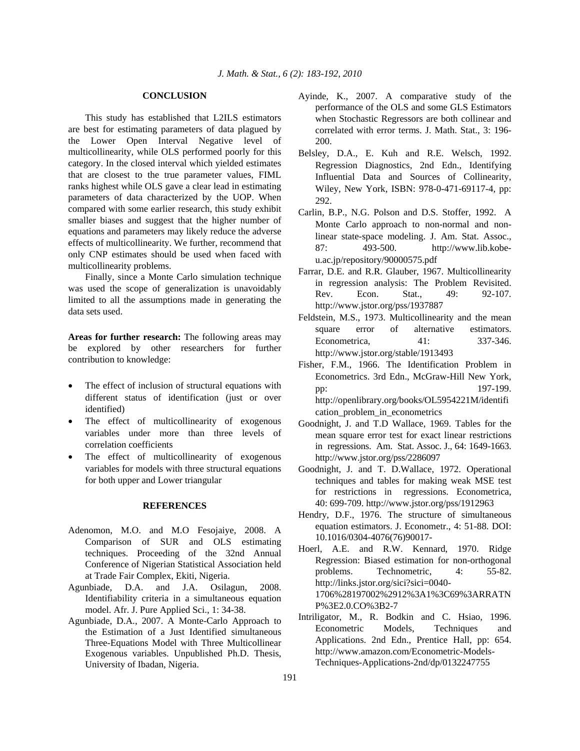#### **CONCLUSION**

 This study has established that L2ILS estimators are best for estimating parameters of data plagued by the Lower Open Interval Negative level of multicollinearity, while OLS performed poorly for this category. In the closed interval which yielded estimates that are closest to the true parameter values, FIML ranks highest while OLS gave a clear lead in estimating parameters of data characterized by the UOP. When compared with some earlier research, this study exhibit smaller biases and suggest that the higher number of equations and parameters may likely reduce the adverse effects of multicollinearity. We further, recommend that only CNP estimates should be used when faced with multicollinearity problems.

 Finally, since a Monte Carlo simulation technique was used the scope of generalization is unavoidably limited to all the assumptions made in generating the data sets used.

**Areas for further research:** The following areas may be explored by other researchers for further contribution to knowledge:

- The effect of inclusion of structural equations with different status of identification (just or over identified)
- The effect of multicollinearity of exogenous variables under more than three levels of correlation coefficients
- The effect of multicollinearity of exogenous variables for models with three structural equations for both upper and Lower triangular

### **REFERENCES**

- Adenomon, M.O. and M.O Fesojaiye, 2008. A Comparison of SUR and OLS estimating techniques. Proceeding of the 32nd Annual Conference of Nigerian Statistical Association held at Trade Fair Complex, Ekiti, Nigeria.
- Agunbiade, D.A. and J.A. Osilagun, 2008. Identifiability criteria in a simultaneous equation model. Afr. J. Pure Applied Sci., 1: 34-38.
- Agunbiade, D.A., 2007. A Monte-Carlo Approach to the Estimation of a Just Identified simultaneous Three-Equations Model with Three Multicollinear Exogenous variables. Unpublished Ph.D. Thesis, University of Ibadan, Nigeria.
- Ayinde, K., 2007. A comparative study of the performance of the OLS and some GLS Estimators when Stochastic Regressors are both collinear and correlated with error terms. J. Math. Stat., 3: 196- 200.
- Belsley, D.A., E. Kuh and R.E. Welsch, 1992. Regression Diagnostics, 2nd Edn., Identifying Influential Data and Sources of Collinearity, Wiley, New York, ISBN: 978-0-471-69117-4, pp: 292.
- Carlin, B.P., N.G. Polson and D.S. Stoffer, 1992. A Monte Carlo approach to non-normal and nonlinear state-space modeling. J. Am. Stat. Assoc., 87: 493-500. http://www.lib.kobeu.ac.jp/repository/90000575.pdf
- Farrar, D.E. and R.R. Glauber, 1967. Multicollinearity in regression analysis: The Problem Revisited. Rev. Econ. Stat., 49: 92-107. http://www.jstor.org/pss/1937887
- Feldstein, M.S., 1973. Multicollinearity and the mean square error of alternative estimators. Econometrica, 41: 337-346. http://www.jstor.org/stable/1913493
- Fisher, F.M., 1966. The Identification Problem in Econometrics. 3rd Edn., McGraw-Hill New York, pp: 197-199. http://openlibrary.org/books/OL5954221M/identifi cation\_problem\_in\_econometrics
- Goodnight, J. and T.D Wallace, 1969. Tables for the mean square error test for exact linear restrictions in regressions. Am. Stat. Assoc. J., 64: 1649-1663. http://www.jstor.org/pss/2286097
- Goodnight, J. and T. D.Wallace, 1972. Operational techniques and tables for making weak MSE test for restrictions in regressions. Econometrica, 40: 699-709. http://www.jstor.org/pss/1912963
- Hendry, D.F., 1976. The structure of simultaneous equation estimators. J. Econometr., 4: 51-88. DOI: 10.1016/0304-4076(76)90017-
- Hoerl, A.E. and R.W. Kennard, 1970. Ridge Regression: Biased estimation for non-orthogonal problems. Technometric, 4: 55-82. http://links.jstor.org/sici?sici=0040- 1706%28197002%2912%3A1%3C69%3ARRATN P%3E2.0.CO%3B2-7
- Intriligator, M., R. Bodkin and C. Hsiao, 1996. Econometric Models, Techniques and Applications. 2nd Edn., Prentice Hall, pp: 654. http://www.amazon.com/Econometric-Models-Techniques-Applications-2nd/dp/0132247755